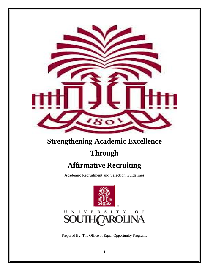

## **Strengthening Academic Excellence**

# **Through**

# **Affirmative Recruiting**

Academic Recruitment and Selection Guidelines



Prepared By: The Office of Equal Opportunity Programs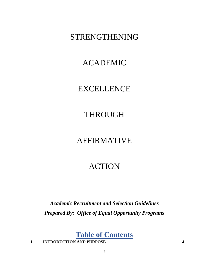## STRENGTHENING

## ACADEMIC

## EXCELLENCE

# THROUGH

## AFFIRMATIVE

## ACTION

*Academic Recruitment and Selection Guidelines Prepared By: Office of Equal Opportunity Programs*

**Table of Contents**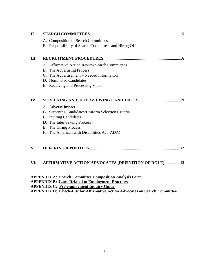| II. |                                                                                                                                                                                                          |
|-----|----------------------------------------------------------------------------------------------------------------------------------------------------------------------------------------------------------|
|     | A. Composition of Search Committees<br>B. Responsibility of Search Committees and Hiring Officials                                                                                                       |
| Ш.  |                                                                                                                                                                                                          |
|     | A. Affirmative Action Review Search Committees<br><b>B.</b> The Advertising Process<br>C. The Advertisement – Needed Information<br>D. Nominated Candidates<br>E. Receiving and Processing Vitae         |
| IV. |                                                                                                                                                                                                          |
|     | A. Adverse Impact<br>B. Screening Candidates/Uniform Selection Criteria<br>C. Inviting Candidates<br>D. The Interviewing Process<br>E. The Hiring Process<br>F. The American with Disabilities Act (ADA) |
| V.  |                                                                                                                                                                                                          |
| VI. | <b>AFFIRMATIVE ACTION ADVOCATES [DEFINITION OF ROLE]13</b>                                                                                                                                               |
|     | <b>APPENDIX A: Search Committee Composition Analysis Form</b><br><b>APPENDIX B: Laws Related to Employment Practices</b><br><b>APPENDIX C: Pre-employment Inquiry Guide</b>                              |

**APPENDIX D: Check-List for Affirmative Action Advocates on Search Committee**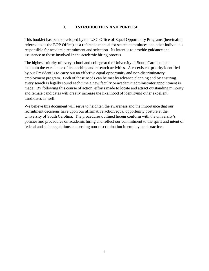## **I. INTRODUCTION AND PURPOSE**

This booklet has been developed by the USC Office of Equal Opportunity Programs (hereinafter referred to as the EOP Office) as a reference manual for search committees and other individuals responsible for academic recruitment and selection. Its intent is to provide guidance and assistance to those involved in the academic hiring process.

The highest priority of every school and college at the University of South Carolina is to maintain the excellence of its teaching and research activities. A co-existent priority identified by our President is to carry out an effective equal opportunity and non-discriminatory employment program. Both of these needs can be met by advance planning and by ensuring every search is legally sound each time a new faculty or academic administrator appointment is made. By following this course of action, efforts made to locate and attract outstanding minority and female candidates will greatly increase the likelihood of identifying other excellent candidates as well.

We believe this document will serve to heighten the awareness and the importance that our recruitment decisions have upon our affirmative action/equal opportunity posture at the University of South Carolina. The procedures outlined herein conform with the university's policies and procedures on academic hiring and reflect our commitment to the spirit and intent of federal and state regulations concerning non-discrimination in employment practices.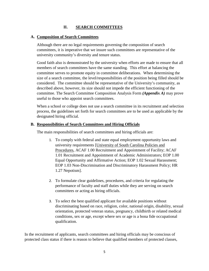### **II. SEARCH COMMITTEES**

### **A. Composition of Search Committees**

Although there are no legal requirements governing the composition of search committees, it is imperative that we insure such committees are representative of the university community's diversity and tenure status.

Good faith also is demonstrated by the university when efforts are made to ensure that all members of search committees have the same standing. This effort at balancing the committee serves to promote equity in committee deliberations. When determining the size of a search committee, the level/responsibilities of the position being filled should be considered. The committee should be representative of the University's community, as described above, however, its size should not impede the efficient functioning of the committee. The Search Committee Composition Analysis Form *(Appendix A)* may prove useful to those who appoint search committees.

When a school or college does not use a search committee in its recruitment and selection process, the guidelines set forth for search committees are to be used as applicable by the designated hiring official.

### **B. Responsibilities of Search Committees and Hiring Officials**

The main responsibilities of search committees and hiring officials are:

- 1. To comply with federal and state equal employment opportunity laws and university requirements [University of South Carolina Policies and Procedures, ACAF 1.00 Recruitment and Appointment of Facility; ACAF 1.01 Recruitment and Appointment of Academic Administrators; EOP 1.00 Equal Opportunity and Affirmative Action; EOP 1.02 Sexual Harassment; EOP 1.03 Non-Discrimination and Discriminatory Harassment Policy; HR 1.27 Nepotism].
- 2. To formulate clear guidelines, procedures, and criteria for regulating the performance of faculty and staff duties while they are serving on search committees or acting as hiring officials.
- 3. To select the best qualified applicant for available positions without discriminating based on race, religion, color, national origin, disability, sexual orientation, protected veteran status, pregnancy, childbirth or related medical conditions, sex or age, except where sex or age is a bona fide occupational qualification.

In the recruitment of applicants, search committees and hiring officials may be conscious of protected class status if there is reason to believe that qualified members of protected classes,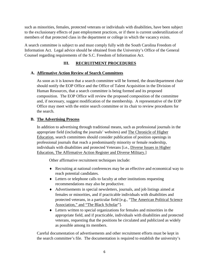such as minorities, females, protected veterans or individuals with disabilities, have been subject to the exclusionary effects of past employment practices, or if there is current underutilization of members of that protected class in the department or college in which the vacancy exists.

A search committee is subject to and must comply fully with the South Carolina Freedom of Information Act. Legal advice should be obtained from the University's Office of the General Counsel regarding requirements of the S.C. Freedom of Information Act.

## **III. RECRUITMENT PROCEDURES**

### **A. Affirmative Action Review of Search Committees**

As soon as it is known that a search committee will be formed, the dean/department chair should notify the EOP Office and the Office of Talent Acquisition in the Division of Human Resources, that a search committee is being formed and its proposed composition. The EOP Office will review the proposed composition of the committee and, if necessary, suggest modification of the membership. A representative of the EOP Office may meet with the entire search committee or its chair to review procedures for the search.

### **B. The Advertising Process**

In addition to advertising through traditional means, such as professional journals in the appropriate field (including the journals' websites) and The Chronicle of Higher Education, search committees should consider publication of position openings in professional journals that reach a predominantly minority or female readership, individuals with disabilities and protected Veterans [i.e., Diverse Issues in Higher Education, The Affirmative Action Register and Diverse Military.]

Other affirmative recruitment techniques include:

- ♦ Recruiting at national conferences may be an effective and economical way to reach potential candidates.
- ♦ Letters or telephone calls to faculty at other institutions requesting recommendations may also be productive.
- ♦ Advertisements in special newsletters, journals, and job listings aimed at females or minorities, and if practicable individuals with disabilities and protected veterans, in a particular field [e.g., "The American Political Science Association," and "The Black Scholar"].
- ♦ Letters written to special organizations for females and minorities in the appropriate field, and if practicable, individuals with disabilities and protected veterans, requesting that the positions be circulated and publicized as widely as possible among its members.

Careful documentation of advertisements and other recruitment efforts must be kept in the search committee's file. The documentation is required to establish the university's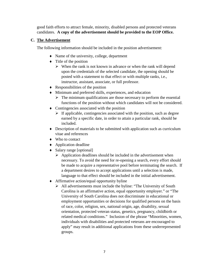good faith efforts to attract female, minority, disabled persons and protected veterans candidates. **A copy of the advertisement should be provided to the EOP Office.**

### **C. The Advertisement**

The following information should be included in the position advertisement:

- ♦ Name of the university, college, department
- $\bullet$  Title of the position
	- $\triangleright$  When the rank is not known in advance or when the rank will depend upon the credentials of the selected candidate, the opening should be posted with a statement to that effect or with multiple ranks, i.e., instructor, assistant, associate, or full professor.
- $\triangleleft$  Responsibilities of the position
- ♦ Minimum and preferred skills, experiences, and education
	- $\triangleright$  The minimum qualifications are those necessary to perform the essential functions of the position without which candidates will not be considered.
- ♦ Contingencies associated with the position
	- $\triangleright$  If applicable, contingencies associated with the position, such as degree earned by a specific date, in order to attain a particular rank, should be included.
- ♦ Description of materials to be submitted with application such as curriculum vitae and references
- ♦ Who to contact
- ♦ Application deadline
- ♦ Salary range [optional]
	- $\triangleright$  Application deadlines should be included in the advertisement when necessary. To avoid the need for re-opening a search, every effort should be made to acquire a representative pool before terminating the search. If a department desires to accept applications until a selection is made, language to that effect should be included in the initial advertisement.
- ♦ Affirmative action/equal opportunity byline
	- $\triangleright$  All advertisements must include the byline: "The University of South Carolina is an affirmative action, equal opportunity employer." or "The University of South Carolina does not discriminate in educational or employment opportunities or decisions for qualified persons on the basis of race, color, religion, sex, national origin, age, disability, sexual orientation, protected veteran status, genetics, pregnancy, childbirth or related medical conditions." Inclusion of the phrase "Minorities, women, individuals with disabilities and protected veterans are encouraged to apply" may result in additional applications from these underrepresented groups.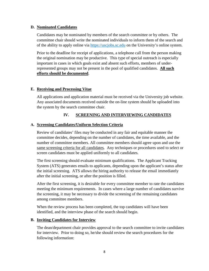### **D. Nominated Candidates**

Candidates may be nominated by members of the search committee or by others. The committee chair should write the nominated individuals to inform them of the search and of the ability to apply online via [https://uscjobs.sc.edu](https://uscjobs.sc.edu/) on the University's online system.

Prior to the deadline for receipt of applications, a telephone call from the person making the original nomination may be productive. This type of special outreach is especially important in cases in which goals exist and absent such efforts, members of underrepresented groups may not be present in the pool of qualified candidates. **All such efforts should be documented**.

### **E. Receiving and Processing Vitae**

All applications and application material must be received via the University job website. Any associated documents received outside the on-line system should be uploaded into the system by the search committee chair.

### **IV. SCREENING AND INTERVIEWING CANDIDATES**

### **A. Screening Candidates/Uniform Selection Criteria**

Review of candidates' files may be conducted in any fair and equitable manner the committee decides, depending on the number of candidates, the time available, and the number of committee members. All committee members should agree upon and use the same screening criteria for all candidates. Any techniques or procedures used to select or screen candidates must be applied uniformly to all candidates.

The first screening should evaluate minimum qualifications. The Applicant Tracking System (ATS) generates emails to applicants, depending upon the applicant's status after the initial screening. ATS allows the hiring authority to release the email immediately after the initial screening, or after the position is filled.

After the first screening, it is desirable for every committee member to rate the candidates meeting the minimum requirements. In cases where a large number of candidates survive the screening, it may be necessary to divide the screening of the remaining candidates among committee members.

When the review process has been completed, the top candidates will have been identified, and the interview phase of the search should begin.

#### **B. Inviting Candidates for Interview**

The dean/department chair provides approval to the search committee to invite candidates for interview. Prior to doing so, he/she should review the search procedures for the following information: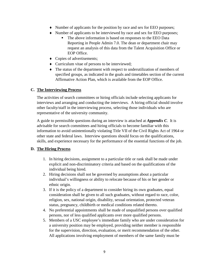- ♦ Number of applicants for the position by race and sex for EEO purposes;
- ♦ Number of applicants to be interviewed by race and sex for EEO purposes;
	- The above information is based on responses to the EEO Data Reporting in People Admin 7.0. The dean or department chair may request an analysis of this data from the Talent Acquisition Office or EOP Office.
- ♦ Copies of advertisements;
- ♦ Curriculum vitae of persons to be interviewed;
- ♦ The status of the department with respect to underutilization of members of specified groups, as indicated in the goals and timetables section of the current Affirmative Action Plan, which is available from the EOP Office.

### **C. The Interviewing Process**

The activities of search committees or hiring officials include selecting applicants for interviews and arranging and conducting the interviews. A hiring official should involve other faculty/staff in the interviewing process, selecting those individuals who are representative of the university community.

A guide to permissible questions during an interview is attached at *Appendix C*. It is advisable for search committees and hiring officials to become familiar with this information to avoid unintentionally violating Title VII of the Civil Rights Act of 1964 or other state and federal laws. Interview questions should focus on the qualifications, skills, and experience necessary for the performance of the essential functions of the job.

## **D. The Hiring Process**

- 1. In hiring decisions, assignment to a particular title or rank shall be made under explicit and non-discriminatory criteria and based on the qualifications of the individual being hired.
- 2. Hiring decisions shall not be governed by assumptions about a particular individual's willingness or ability to relocate because of his or her gender or ethnic origin.
- 3. If it is the policy of a department to consider hiring its own graduates, equal consideration shall be given to all such graduates, without regard to race, color, religion, sex, national origin, disability, sexual orientation, protected veteran status, pregnancy, childbirth or medical conditions related thereto.
- 4. No preferential appointments shall be made of unqualified persons over qualified persons, nor of less qualified applicants over more qualified persons.
- 5. Members of a USC employee's immediate family who are under consideration for a university position may be employed, providing neither member is responsible for the supervision, direction, evaluation, or merit recommendation of the other. All applications involving employment of members of the same family must be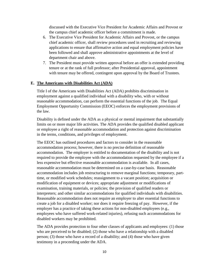discussed with the Executive Vice President for Academic Affairs and Provost or the campus chief academic officer before a commitment is made.

- 6. The Executive Vice President for Academic Affairs and Provost, or the campus chief academic officer, shall review procedures used in recruiting and reviewing applications to ensure that affirmative action and equal employment policies have been followed and shall approve administrative appointments at the level of department chair and above.
- 7. The President must provide written approval before an offer is extended providing tenure or at the rank of full professor; after Presidential approval, appointment with tenure may be offered, contingent upon approval by the Board of Trustees.

#### **E. The Americans with Disabilities Act (ADA)**

Title I of the Americans with Disabilities Act (ADA) prohibits discrimination in employment against a qualified individual with a disability who, with or without reasonable accommodation, can perform the essential functions of the job. The Equal Employment Opportunity Commission (EEOC) enforces the employment provisions of the law.

Disability is defined under the ADA as a physical or mental impairment that substantially limits on or more major life activities. The ADA provides the qualified disabled applicant or employee a right of reasonable accommodation and protection against discrimination in the terms, conditions, and privileges of employment.

The EEOC has outlined procedures and factors to consider in the reasonable accommodation process; however, there is no precise definition of reasonable accommodation. The employer is entitled to documentation of the disability and is not required to provide the employee with the accommodation requested by the employee if a less expensive but effective reasonable accommodation is available. In all cases, reasonable accommodation must be determined on a case-by-case basis. Reasonable accommodation includes job restructuring to remove marginal functions; temporary, parttime, or modified work schedules; reassignment to a vacant position; acquisition or modification of equipment or devices; appropriate adjustment or modifications of examination, training materials, or policies; the provision of qualified readers or interpreters; and other similar accommodations for qualified individuals with disabilities. Reasonable accommodation does not require an employer to alter essential functions to create a job for a disabled worker; nor does it require freezing of pay. However, if the employer has a practice of taking these actions for non-disabled employees (e.g., employees who have suffered work-related injuries), refusing such accommodations for disabled workers may be prohibited.

The ADA provides protection to four other classes of applicants and employees: (1) those who are perceived to be disabled; (2) those who have a relationship with a disabled person; (3) those who have a record of a disability; and (4) those who have given testimony in a proceeding under the ADA.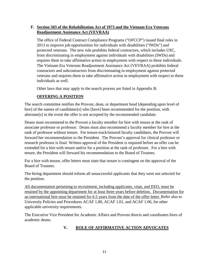## **F. Section 503 of the Rehabilitation Act of 1973 and the Vietnam Era Veterans Readjustment Assistance Act (VEVRAA)**

The office of Federal Contract Compliance Programs ("OFCCP") issued final rules in 2013 to improve job opportunities for individuals with disabilities ("IWDs") and protected veterans. The new rule prohibits federal contractors, which includes USC, from discriminating in employment against individuals with disabilities (IWDs) and requires them to take affirmative action in employment with respect to these individuals. The Vietnam Era Veterans Readjustment Assistance Act (VEVRAA) prohibits federal contractors and subcontractors from discriminating in employment against protected veterans and requires them to take affirmative action in employment with respect to these individuals as well.

Other laws that may apply to the search process are listed in Appendix B.

## **OFFERING A POSITION**

The search committee notifies the Provost, dean, or department head [depending upon level of hire] of the names of candidates[s] who [have] been recommended for the position, with alternate[s] in the event the offer is not accepted by the recommended candidate.

Deans must recommend to the Provost a faculty member for hire with tenure at the rank of associate professor or professor. Deans must also recommend a faculty member for hire at the rank of professor without tenure. For tenure-track/tenured faculty candidates, the Provost will forward her recommendation to the President. The Provost's approval for clinical professor or research professor is final. Written approval of the President is required before an offer can be extended for a hire with tenure and/or for a position at the rank of professor. For a hire with tenure, the President will forward his recommendation to the Board of Trustees.

For a hire with tenure, offer letters must state that tenure is contingent on the approval of the Board of Trustees.

The hiring department should inform all unsuccessful applicants that they were not selected for the position.

All documentation pertaining to recruitment, including applicants, vitae, and EEO, must be retained by the appointing department for at least three years before deletion. Documentation for an international hire must be retained for 6.5 years from the date of the offer letter. Refer also to University Policies and Procedures ACAF 1.00, ACAF 1.01, and ACAF 1.06, for other applicable university requirements.

The Executive Vice President for Academic Affairs and Provost directs and coordinates hires of academic deans.

## **V. ROLE OF AFFIRMATIVE ACTION ADVOCATES**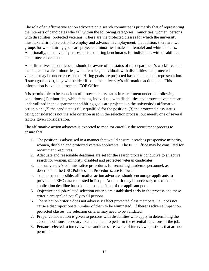The role of an affirmative action advocate on a search committee is primarily that of representing the interests of candidates who fall within the following categories: minorities, women, persons with disabilities, protected veterans. These are the protected classes for which the university must take affirmative action to employ and advance in employment. In addition, there are two groups for whom hiring goals are projected: minorities [male and female] and white females. Additionally, the university has established hiring benchmarks for individuals with disabilities and protected veterans.

An affirmative action advocate should be aware of the status of the department's workforce and the degree to which minorities, white females, individuals with disabilities and protected veterans may be underrepresented. Hiring goals are projected based on the underrepresentation. If such goals exist, they will be identified in the university's affirmation action plan. This information is available from the EOP Office.

It is permissible to be conscious of protected class status in recruitment under the following conditions: (1) minorities, white females, individuals with disabilities and protected veterans are underutilized in the department and hiring goals are projected in the university's affirmative action plan; (2) the candidate is fully qualified for the position; (3) the protected class status being considered is not the sole criterion used in the selection process, but merely one of several factors given consideration.

The affirmative action advocate is expected to monitor carefully the recruitment process to ensure that:

- 1. The position is advertised in a manner that would ensure it reaches prospective minority, women, disabled and protected veteran applicants. The EOP Office may be consulted for recruitment resources.
- 2. Adequate and reasonable deadlines are set for the search process conducive to an active search for women, minority, disabled and protected veteran candidates.
- 3. The university's administrative procedures for recruiting academic personnel, as described in the USC Policies and Procedures, are followed.
- 4. To the extent possible, affirmative action advocates should encourage applicants to provide the EEO data requested in People Admin. It may be necessary to extend the application deadline based on the composition of the applicant pool.
- 5. Objective and job-related selection criteria are established early in the process and these criteria are applied equally to all persons.
- 6. The selection criteria does not adversely affect protected class members, i.e., does not cause a disproportionate number of them to be eliminated. If there is adverse impact on protected classes, the selection criteria may need to be validated.
- 7. Proper consideration is given to persons with disabilities who apply in determining the accommodations necessary to enable them to perform the essential functions of the job.
- 8. Persons selected to interview the candidates are aware of interview questions that are not permitted.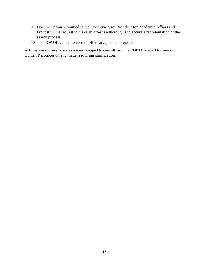- 9. Documentation submitted to the Executive Vice President for Academic Affairs and Provost with a request to make an offer is a thorough and accurate representation of the search process.
- 10. The EOP Office is informed of offers accepted and rejected.

Affirmative action advocates are encouraged to consult with the EOP Office or Division of Human Resources on any matter requiring clarification.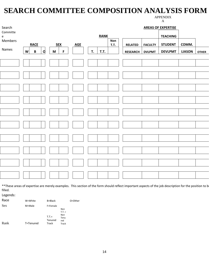## **SEARCH COMMITTEE COMPOSITION ANALYSIS FORM**

APPENDIX

| Search                                        |   |                 |   |                                                                                       |             |                            |    |             |            |                 |                | <b>AREAS OF EXPERTISE</b> |               |              |
|-----------------------------------------------|---|-----------------|---|---------------------------------------------------------------------------------------|-------------|----------------------------|----|-------------|------------|-----------------|----------------|---------------------------|---------------|--------------|
| Committe<br>$\mathsf{e}% _{t}\left( t\right)$ |   |                 |   |                                                                                       |             |                            |    | <b>RANK</b> | <b>Non</b> |                 |                | <b>TEACHING</b>           |               |              |
| Members                                       |   | <b>RACE</b>     |   |                                                                                       | $SEX$       | $\underline{\mathsf{AGE}}$ |    |             | T.T.       | <b>RELATED</b>  | <b>FACULTY</b> | <b>STUDENT</b>            | COMM.         |              |
| Names                                         | W | $\, {\bf B} \,$ | q | $\mathsf{M}% _{T}=\mathsf{M}_{T}\!\left( a,b\right) ,\ \mathsf{M}_{T}=\mathsf{M}_{T}$ | $\mathsf F$ |                            | T. | T.T.        |            | <b>RESEARCH</b> | <b>DVLPMT</b>  | <b>DEVLPMT</b>            | <b>LIASON</b> | <b>OTHER</b> |
|                                               |   |                 |   |                                                                                       |             |                            |    |             |            |                 |                |                           |               |              |
|                                               |   |                 |   |                                                                                       |             |                            |    |             |            |                 |                |                           |               |              |
|                                               |   |                 |   |                                                                                       |             |                            |    |             |            |                 |                |                           |               |              |
|                                               |   |                 |   |                                                                                       |             |                            |    |             |            |                 |                |                           |               |              |
|                                               |   |                 |   |                                                                                       |             |                            |    |             |            |                 |                |                           |               |              |
|                                               |   |                 |   |                                                                                       |             |                            |    |             |            |                 |                |                           |               |              |
|                                               |   |                 |   |                                                                                       |             |                            |    |             |            |                 |                |                           |               |              |
|                                               |   |                 |   |                                                                                       |             |                            |    |             |            |                 |                |                           |               |              |
|                                               |   |                 |   |                                                                                       |             |                            |    |             |            |                 |                |                           |               |              |
|                                               |   |                 |   |                                                                                       |             |                            |    |             |            |                 |                |                           |               |              |
|                                               |   |                 |   |                                                                                       |             |                            |    |             |            |                 |                |                           |               |              |
|                                               |   |                 |   |                                                                                       |             |                            |    |             |            |                 |                |                           |               |              |
|                                               |   |                 |   |                                                                                       |             |                            |    |             |            |                 |                |                           |               |              |
|                                               |   |                 |   |                                                                                       |             |                            |    |             |            |                 |                |                           |               |              |
|                                               |   |                 |   |                                                                                       |             |                            |    |             |            |                 |                |                           |               |              |
|                                               |   |                 |   |                                                                                       |             |                            |    |             |            |                 |                |                           |               |              |
|                                               |   |                 |   |                                                                                       |             |                            |    |             |            |                 |                |                           |               |              |

\*\*These areas of expertise are merely examples. This section of the form should reflect important aspects of the job description for the position to be filled.

Legends:

| Race | W=White   | B=Black      |                 | O=Other |
|------|-----------|--------------|-----------------|---------|
| Sex  | M=Male    | F=Female     |                 |         |
|      |           |              | Non             |         |
|      |           |              | $T.T. =$<br>Non |         |
|      |           | $T.T. =$     | Tenu            |         |
|      |           | Tenured      | red             |         |
| Rank | T=Tenured | <b>Track</b> | Track           |         |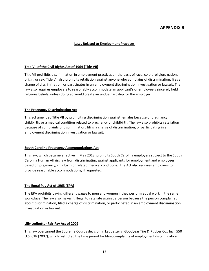### **APPENDIX B**

#### **Laws Related to Employment Practices**

#### **Title VII of the Civil Rights Act of 1964 (Title VII)**

Title VII prohibits discrimination in employment practices on the basis of race, color, religion, national origin, or sex. Title VII also prohibits retaliation against anyone who complains of discrimination, files a charge of discrimination, or participates in an employment discrimination investigation or lawsuit. The law also requires employers to reasonably accommodate an applicant's or employee's sincerely held religious beliefs, unless doing so would create an undue hardship for the employer.

#### **The Pregnancy Discrimination Act**

This act amended Title VII by prohibiting discrimination against females because of pregnancy, childbirth, or a medical condition related to pregnancy or childbirth. The law also prohibits retaliation because of complaints of discrimination, filing a charge of discrimination, or participating in an employment discrimination investigation or lawsuit.

#### **South Carolina Pregnancy Accommodations Act**

This law, which became effective in May 2018, prohibits South Carolina employers subject to the South Carolina Human Affairs law from discriminating against applicants for employment and employees based on pregnancy, childbirth or related medical conditions. The Act also requires employers to provide reasonable accommodations, if requested.

#### **The Equal Pay Act of 1963 (EPA)**

The EPA prohibits paying different wages to men and women if they perform equal work in the same workplace. The law also makes it illegal to retaliate against a person because the person complained about discrimination, filed a charge of discrimination, or participated in an employment discrimination investigation or lawsuit.

#### **Lilly Ledbetter Fair Pay Act of 2009**

This law overturned the Supreme Court's decision in Ledbetter v. Goodyear Tire & Rubber Co., Inc., 550 U.S. 618 (2007), which restricted the time period for filing complaints of employment discrimination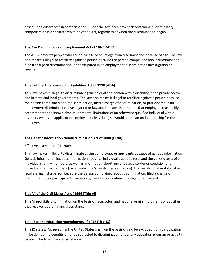based upon differences in compensation. Under the Act, each paycheck containing discriminatory compensation is a separate violation of the Act, regardless of when the discrimination began.

#### **The Age Discrimination in Employment Act of 1967 (ADEA)**

The ADEA protects people who are at least 40 years of age from discrimination because of age. The law also makes it illegal to retaliate against a person because the person complained about discrimination, filed a charge of discrimination, or participated in an employment discrimination investigation or lawsuit.

#### **Title I of the Americans with Disabilities Act of 1990 (ADA)**

This law makes it illegal to discriminate against a qualified person with a disability in the private sector and in state and local governments. The law also makes it illegal to retaliate against a person because the person complained about discrimination, filed a charge of discrimination, or participated in an employment discrimination investigation or lawsuit. The law also requires that employers reasonably accommodate the known physical or mental limitations of an otherwise qualified individual with a disability who is an applicant or employee, unless doing so would create an undue hardship for the employer.

#### **The Genetic Information Nondiscrimination Act of 2008 (GINA)**

Effective - November 21, 2009.

This law makes it illegal to discriminate against employees or applicants because of genetic information. Genetic information includes information about an individual's genetic tests and the genetic tests of an individual's family members, as well as information about any disease, disorder or condition of an individual's family members (i.e. an individual's family medical history). The law also makes it illegal to retaliate against a person because the person complained about discrimination, filed a charge of discrimination, or participated in an employment discrimination investigation or lawsuit.

#### **Title VI of the Civil Rights Act of 1964 (Title VI)**

Title VI prohibits discrimination on the basis of race, color, and national origin in programs or activities that receive federal financial assistance.

#### **Title IX of the Education Amendments of 1972 (Title IX)**

Title IX states: No person in the United States shall, on the basis of sex, be excluded from participation in, be denied the benefits of, or be subjected to discrimination under any education program or activity receiving Federal financial assistance.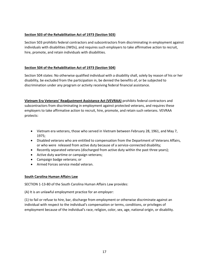#### **Section 503 of the Rehabilitation Act of 1973 (Section 503)**

Section 503 prohibits federal contractors and subcontractors from discriminating in employment against individuals with disabilities (IWDs), and requires such employers to take affirmative action to recruit, hire, promote, and retain individuals with disabilities.

### **Section 504 of the Rehabilitation Act of 1973 (Section 504)**

Section 504 states: No otherwise qualified individual with a disability shall, solely by reason of his or her disability, be excluded from the participation in, be denied the benefits of, or be subjected to discrimination under any program or activity receiving federal financial assistance.

**Vietnam Era Veterans' Readjustment Assistance Act (VEVRAA)** prohibits federal contractors and subcontractors from discriminating in employment against protected veterans, and requires these employers to take affirmative action to recruit, hire, promote, and retain such veterans. VEVRAA protects:

- Vietnam era veterans, those who served in Vietnam between February 28, 1961, and May 7, 1975;
- Disabled veterans who are entitled to compensation from the Department of Veterans Affairs, or who were released from active duty because of a service-connected disability;
- Recently separated veterans (discharged from active duty within the past three years);
- Active duty wartime or campaign veterans;
- Campaign badge veterans; or
- Armed Forces service medal veteran.

#### **South Carolina Human Affairs Law**

SECTION 1-13-80 of the South Carolina Human Affairs Law provides:

(A) It is an unlawful employment practice for an employer:

(1) to fail or refuse to hire, bar, discharge from employment or otherwise discriminate against an individual with respect to the individual's compensation or terms, conditions, or privileges of employment because of the individual's race, religion, color, sex, age, national origin, or disability.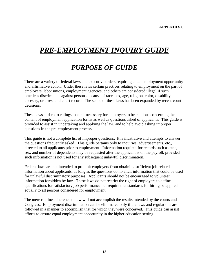## *PRE-EMPLOYMENT INQUIRY GUIDE*

## *PURPOSE OF GUIDE*

There are a variety of federal laws and executive orders requiring equal employment opportunity and affirmative action. Under these laws certain practices relating to employment on the part of employers, labor unions, employment agencies, and others are considered illegal if such practices discriminate against persons because of race, sex, age, religion, color, disability, ancestry, or arrest and court record. The scope of these laws has been expanded by recent court decisions.

These laws and court rulings make it necessary for employers to be cautious concerning the content of employment application forms as well as questions asked of applicants. This guide is provided to assist in undertaking and applying the law, and to help avoid asking improper questions in the pre-employment process.

This guide is not a complete list of improper questions. It is illustrative and attempts to answer the questions frequently asked. This guide pertains only to inquiries, advertisements, etc., directed to all applicants prior to employment. Information required for records such as race, sex, and number of dependents may be requested after the applicant is on the payroll, provided such information is not used for any subsequent unlawful discrimination.

Federal laws are not intended to prohibit employers from obtaining sufficient job-related information about applicants, as long as the questions do no elicit information that could be used for unlawful discriminatory purposes. Applicants should not be encouraged to volunteer information forbidden by law. These laws do not restrict the right of employers to define qualifications for satisfactory job performance but require that standards for hiring be applied equally to all persons considered for employment.

The mere routine adherence to law will not accomplish the results intended by the courts and Congress. Employment discrimination can be eliminated only if the laws and regulations are followed in a manner to accomplish that for which they were conceived. This guide can assist efforts to ensure equal employment opportunity in the higher education setting.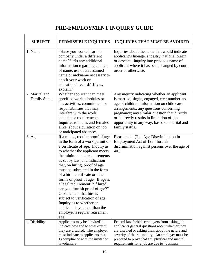## **PRE-EMPLOYMENT INQUIRY GUIDE**

| <b>SUBJECT</b>       | PERMISSIBLE INQUIRIES                                                                                                      | <b>INQUIRIES THAT MUST BE AVOIDED</b>                                                                                                                                                                  |
|----------------------|----------------------------------------------------------------------------------------------------------------------------|--------------------------------------------------------------------------------------------------------------------------------------------------------------------------------------------------------|
|                      |                                                                                                                            |                                                                                                                                                                                                        |
| 1. Name              | "Have you worked for this                                                                                                  | Inquiries about the name that would indicate                                                                                                                                                           |
|                      | company under a different                                                                                                  | applicant's lineage, ancestry, national origin                                                                                                                                                         |
|                      | name?" "Is any additional                                                                                                  | or descent. Inquiry into previous name of                                                                                                                                                              |
|                      | information regarding change                                                                                               | applicant where it has been changed by court                                                                                                                                                           |
|                      | of name, use of an assumed                                                                                                 | order or otherwise.                                                                                                                                                                                    |
|                      | name or nickname necessary to                                                                                              |                                                                                                                                                                                                        |
|                      | check your work or                                                                                                         |                                                                                                                                                                                                        |
|                      | educational record? If yes,                                                                                                |                                                                                                                                                                                                        |
|                      | explain."                                                                                                                  |                                                                                                                                                                                                        |
| 2. Marital and       | Whether applicant can meet                                                                                                 | Any inquiry indicating whether an applicant                                                                                                                                                            |
| <b>Family Status</b> | specified work schedules or                                                                                                | is married, single, engaged, etc.; number and                                                                                                                                                          |
|                      | has activities, commitment or                                                                                              | age of children; information on child care                                                                                                                                                             |
|                      | responsibilities that may                                                                                                  | arrangements; any questions concerning                                                                                                                                                                 |
|                      | interfere with the work                                                                                                    | pregnancy; any similar question that directly                                                                                                                                                          |
|                      | attendance requirements.<br>Inquiries to males and females                                                                 | or indirectly results in limitation of job<br>opportunity in any way, based on marital and                                                                                                             |
|                      | alike, about a duration on job                                                                                             | family status.                                                                                                                                                                                         |
|                      | or anticipated absences.                                                                                                   |                                                                                                                                                                                                        |
| $3. \text{Age}$      | If a minor, require proof of age                                                                                           | Please note: (The Age Discrimination in                                                                                                                                                                |
|                      | in the form of a work permit or                                                                                            | Employment Act of 1967 forbids                                                                                                                                                                         |
|                      | a certificate of age. Inquiry as                                                                                           | discrimination against persons over the age of                                                                                                                                                         |
|                      | to whether the applicant meets                                                                                             | $40.$ )                                                                                                                                                                                                |
|                      | the minimum age requirements                                                                                               |                                                                                                                                                                                                        |
|                      | as set by law, and indication                                                                                              |                                                                                                                                                                                                        |
|                      | that, on hiring, proof of age                                                                                              |                                                                                                                                                                                                        |
|                      | must be submitted in the form                                                                                              |                                                                                                                                                                                                        |
|                      | of a birth certificate or other                                                                                            |                                                                                                                                                                                                        |
|                      | forms of proof of age. If age is                                                                                           |                                                                                                                                                                                                        |
|                      | a legal requirement: "If hired,                                                                                            |                                                                                                                                                                                                        |
|                      | can you furnish proof of age?"                                                                                             |                                                                                                                                                                                                        |
|                      | Or statement that hire is                                                                                                  |                                                                                                                                                                                                        |
|                      | subject to verification of age.                                                                                            |                                                                                                                                                                                                        |
|                      | Inquiry as to whether an                                                                                                   |                                                                                                                                                                                                        |
|                      | applicant is younger than the                                                                                              |                                                                                                                                                                                                        |
|                      | employer's regular retirement                                                                                              |                                                                                                                                                                                                        |
|                      | age.                                                                                                                       |                                                                                                                                                                                                        |
| 4. Disability        | Applicants may be "invited" to                                                                                             | Federal law forbids employers from asking job                                                                                                                                                          |
|                      | indicate how and to what extent                                                                                            | applicants general questions about whether they                                                                                                                                                        |
|                      |                                                                                                                            |                                                                                                                                                                                                        |
|                      |                                                                                                                            |                                                                                                                                                                                                        |
|                      |                                                                                                                            |                                                                                                                                                                                                        |
|                      | they are disabled. The employer<br>must indicate to applicants that:<br>1) compliance with the invitation<br>is voluntary; | are disabled or asking them about the nature and<br>severity of their disability. An employer must be<br>prepared to prove that any physical and mental<br>requirements for a job are due to "business |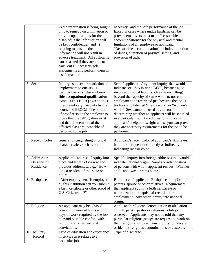|                                           | 2) the information is being sought<br>only to remedy discrimination or<br>provide opportunities for the<br>disabled; 3 the information will<br>be kept confidential; and 4)<br>refusing to provide the<br>information will not result in<br>adverse treatment. All applicants<br>can be asked if they are able to<br>carry out all necessary job<br>assignments and perform them in<br>a safe manner.      | necessity" and the safe performance of the job.<br>Except n cases where undue hardship can be<br>proven, employers must make "reasonable<br>accommodations" for the physical and mental<br>limitations of an employee or applicant.<br>"Reasonable accommodation" includes alteration<br>of duties, alteration of physical setting, and<br>provision of aids.                                                                                                                                                                                                                         |
|-------------------------------------------|------------------------------------------------------------------------------------------------------------------------------------------------------------------------------------------------------------------------------------------------------------------------------------------------------------------------------------------------------------------------------------------------------------|---------------------------------------------------------------------------------------------------------------------------------------------------------------------------------------------------------------------------------------------------------------------------------------------------------------------------------------------------------------------------------------------------------------------------------------------------------------------------------------------------------------------------------------------------------------------------------------|
| 5. Sex                                    | Inquiry as to sex or restriction of<br>employment to one sex is<br>permissible only where a bona<br>fide occupational qualification<br>exists. (This BFOQ exception is<br>interpreted very narrowly by the<br>courts and EEOC.) The burden<br>of proof rests on the employer to<br>prove that the BFOQ does exist<br>and that all members of the<br>affected class are incapable of<br>performing the job. | Sex of applicant. Any other inquiry that would<br>indicate sex. Sex is not a BFOQ because a job<br>involves physical labor (such as heavy lifting)<br>beyond the capacity of some women; nor can<br>employment be restricted just because the job is<br>traditionally labelled "men's work" or "women's<br>work." Sex cannot be used as a factor for<br>determining whether an applicant will be satisfied<br>in a particular job. Avoid questions concerning<br>applicant's height or weight unless you can prove<br>they are necessary requirements for the job to be<br>performed. |
| 6. Race or Color                          | General distinguishing physical<br>characteristics, such as scars.                                                                                                                                                                                                                                                                                                                                         | Applicant's race. Color of applicant's skin, eyes,<br>hair or other questions directly or indirectly<br>indicating race or color.                                                                                                                                                                                                                                                                                                                                                                                                                                                     |
| 7. Address or<br>Duration of<br>Residence | Applicant's address. Inquiry into<br>place and length of current and<br>previous addresses., e.g., "How<br>long a resident of this state or<br>city?"                                                                                                                                                                                                                                                      | Specific inquiry into foreign addresses that would<br>indicate national origin. Names or relationships<br>of persons with whom applicant resides. Whether<br>applicant owns or rents home.                                                                                                                                                                                                                                                                                                                                                                                            |
| 8. Birthplace                             | "After employment (if employed<br>by this institution can you submit<br>a birth certificate or other proof of<br>U.S. Citizenship?"                                                                                                                                                                                                                                                                        | Birthplace of applicant. Birthplace of applicant's<br>parents, spouse or other relatives. Requirement<br>that applicant submit a birth certificate or<br>naturalization or baptismal record before<br>employment. Any other inquiry into national<br>origin.                                                                                                                                                                                                                                                                                                                          |
| 9. Religion                               | An applicant may be advised<br>concerning normal hours and<br>days of work required by the job<br>to avoid possible conflict with<br>religious or other personal<br>convictions.                                                                                                                                                                                                                           | Applicant's religious denomination or affiliation,<br>church, parish, pastor or religious holidays<br>observed. Applicants may not be told that any<br>particular religious groups are required to work on<br>their religious holidays. Any inquiry to indicate<br>or identify religious denominations or customs.                                                                                                                                                                                                                                                                    |
| 10. Military<br>Record                    | Type of education and experience<br>in service as it relates to a<br>particular job.                                                                                                                                                                                                                                                                                                                       | Type of discharge.                                                                                                                                                                                                                                                                                                                                                                                                                                                                                                                                                                    |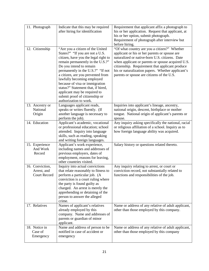| 11. Photograph                                        | Indicate that this may be required<br>after hiring for identification                                                                                                                                                                                                                                                                                                                                                                                  | Requirement that applicant affix a photograph to<br>his or her application. Request that applicant, at<br>his or her option, submit photograph.<br>Requirement of photograph after interview but<br>before hiring.                                                                                                                                         |
|-------------------------------------------------------|--------------------------------------------------------------------------------------------------------------------------------------------------------------------------------------------------------------------------------------------------------------------------------------------------------------------------------------------------------------------------------------------------------------------------------------------------------|------------------------------------------------------------------------------------------------------------------------------------------------------------------------------------------------------------------------------------------------------------------------------------------------------------------------------------------------------------|
| 12. Citizenship                                       | "Are you a citizen of the United<br>States?" "If you are not a U.S.<br>citizen, have you the legal right to<br>remain permanently in the U.S.?"<br>Do you intend to remain<br>permanently in the U.S.?" "If not<br>a citizen, are you prevented from<br>lawfully becoming employed<br>because of visa or immigration<br>status?" Statement that, if hired,<br>applicant may be required to<br>submit proof of citizenship or<br>authorization to work. | "Of what country are you a citizen?" Whether<br>applicant or his or her parents or spouse are<br>naturalized or native-born U.S. citizens. Date<br>when applicant or parents or spouse acquired U.S.<br>citizenship. Requirement that applicant produce<br>his or naturalization papers. Whether applicant's<br>parents or spouse are citizens of the U.S. |
| 13. Ancestry or<br>National<br>Origin                 | Languages applicant reads,<br>speaks or writes fluently. (If<br>another language is necessary to<br>perform the job).                                                                                                                                                                                                                                                                                                                                  | Inquiries into applicant's lineage, ancestry,<br>national origin, descent, birthplace or mother<br>tongue. National origin of applicant's parents or<br>spouse.                                                                                                                                                                                            |
| 14. Education                                         | Applicant's academic, vocational<br>or professional education; school<br>attended. Inquiry into language<br>skills, such as reading, speaking<br>and writing foreign languages.                                                                                                                                                                                                                                                                        | Any inquiry asking specifically the national, racial<br>or religious affiliation of a school. Inquiry as to<br>how foreign language ability was acquired.                                                                                                                                                                                                  |
| 15. Experience<br>And Work<br>Record                  | Applicant's work experience,<br>including names and addresses of<br>previous employers, dates of<br>employment, reasons for leaving,<br>other countries visited.                                                                                                                                                                                                                                                                                       | Salary history or questions related thereto.                                                                                                                                                                                                                                                                                                               |
| 16. Conviction,<br>Arrest, and<br><b>Court Record</b> | Inquiry into actual convictions<br>that relate reasonably to fitness to<br>perform a particular job. (A<br>conviction is a court ruling where<br>the party is found guilty as<br>charged. An arrest is merely the<br>apprehending or detaining of the<br>person to answer the alleged<br>crime.                                                                                                                                                        | Any inquiry relating to arrest, or court or<br>conviction record, not substantially related to<br>functions and responsibilities of the job.                                                                                                                                                                                                               |
| 17. Relatives                                         | Names of applicant's relatives<br>already employed by this<br>company. Name and addresses of<br>parents or guardian of minor<br>applicant.                                                                                                                                                                                                                                                                                                             | Name or address of any relative of adult applicant,<br>other than those employed by this company.                                                                                                                                                                                                                                                          |
| 18. Notice in<br>Case of<br>Emergency                 | Name and address of person to be<br>notified in case of accident or<br>emergency                                                                                                                                                                                                                                                                                                                                                                       | Name or address of any relative of adult applicant,<br>other than those employed by this company                                                                                                                                                                                                                                                           |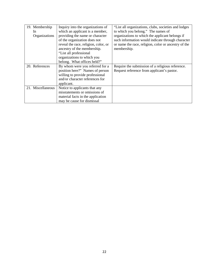| 19. Membership    | Inquiry into the organizations of    | "List all organizations, clubs, societies and lodges |
|-------------------|--------------------------------------|------------------------------------------------------|
| In                | which an applicant is a member,      | to which you belong." The names of                   |
| Organizations     | providing the name or character      | organizations to which the applicant belongs if      |
|                   | of the organization does not         | such information would indicate through character    |
|                   | reveal the race, religion, color, or | or name the race, religion, color or ancestry of the |
|                   | ancestry of the membership.          | membership.                                          |
|                   | "List all professional               |                                                      |
|                   | organizations to which you           |                                                      |
|                   | belong. What offices held?"          |                                                      |
| 20. References    | By whom were you referred for a      | Require the submission of a religious reference.     |
|                   | position here?" Names of person      | Request reference from applicant's pastor.           |
|                   | willing to provide professional      |                                                      |
|                   | and/or character references for      |                                                      |
|                   | applicant.                           |                                                      |
| 21. Miscellaneous | Notice to applicants that any        |                                                      |
|                   | misstatements or omissions of        |                                                      |
|                   | material facts in the application    |                                                      |
|                   | may be cause for dismissal           |                                                      |